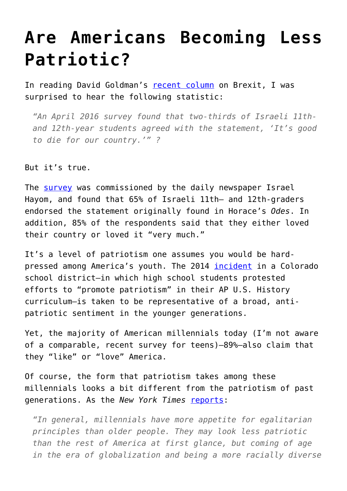## **[Are Americans Becoming Less](https://intellectualtakeout.org/2016/06/are-americans-becoming-less-patriotic/) [Patriotic?](https://intellectualtakeout.org/2016/06/are-americans-becoming-less-patriotic/)**

In reading David Goldman's [recent column](http://atimes.com/2016/06/britain-embraces-risk-once-again/) on Brexit, I was surprised to hear the following statistic:

*"An April 2016 survey found that two-thirds of Israeli 11thand 12th-year students agreed with the statement, 'It's good to die for our country.'" ?*

But it's true.

The [survey](http://www.israelhayom.com/site/newsletter_article.php?id=33059) was commissioned by the daily newspaper Israel Hayom, and found that 65% of Israeli 11th– and 12th-graders endorsed the statement originally found in Horace's *Odes*. In addition, 85% of the respondents said that they either loved their country or loved it "very much."

It's a level of patriotism one assumes you would be hardpressed among America's youth. The 2014 [incident](http://thinkprogress.org/education/2015/11/04/3719103/school-board-ap-standards/) in a Colorado school district—in which high school students protested efforts to "promote patriotism" in their AP U.S. History curriculum—is taken to be representative of a broad, antipatriotic sentiment in the younger generations.

Yet, the majority of American millennials today (I'm not aware of a comparable, recent survey for teens)—89%—also claim that they "like" or "love" America.

Of course, the form that patriotism takes among these millennials looks a bit different from the patriotism of past generations. As the *New York Times* [reports:](http://www.nytimes.com/2014/07/05/upshot/younger-americans-are-less-patriotic-at-least-in-some-ways.html)

*"In general, millennials have more appetite for egalitarian principles than older people. They may look less patriotic than the rest of America at first glance, but coming of age in the era of globalization and being a more racially diverse*